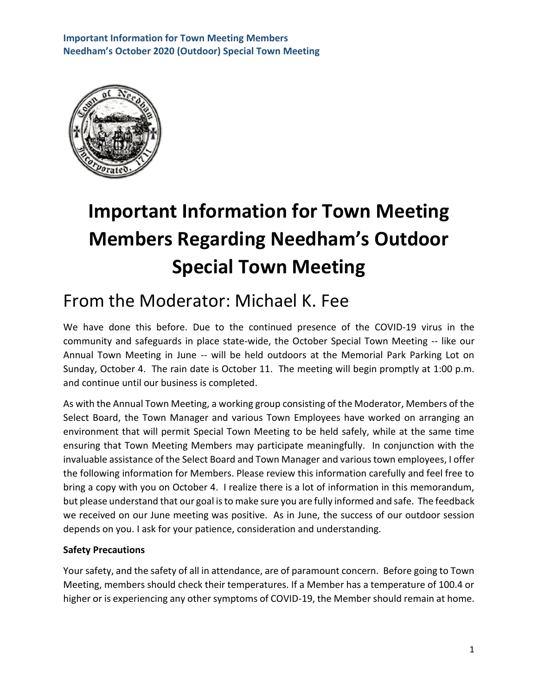

# **Important Information for Town Meeting Members Regarding Needham's Outdoor Special Town Meeting**

# From the Moderator: Michael K. Fee

We have done this before. Due to the continued presence of the COVID-19 virus in the community and safeguards in place state-wide, the October Special Town Meeting -- like our Annual Town Meeting in June -- will be held outdoors at the Memorial Park Parking Lot on Sunday, October 4. The rain date is October 11. The meeting will begin promptly at 1:00 p.m. and continue until our business is completed.

As with the Annual Town Meeting, a working group consisting of the Moderator, Members of the Select Board, the Town Manager and various Town Employees have worked on arranging an environment that will permit Special Town Meeting to be held safely, while at the same time ensuring that Town Meeting Members may participate meaningfully. In conjunction with the invaluable assistance of the Select Board and Town Manager and various town employees, I offer the following information for Members. Please review this information carefully and feel free to bring a copy with you on October 4. I realize there is a lot of information in this memorandum, but please understand that our goal is to make sure you are fully informed and safe. The feedback we received on our June meeting was positive. As in June, the success of our outdoor session depends on you. I ask for your patience, consideration and understanding.

# **Safety Precautions**

Your safety, and the safety of all in attendance, are of paramount concern. Before going to Town Meeting, members should check their temperatures. If a Member has a temperature of 100.4 or higher or is experiencing any other symptoms of COVID-19, the Member should remain at home.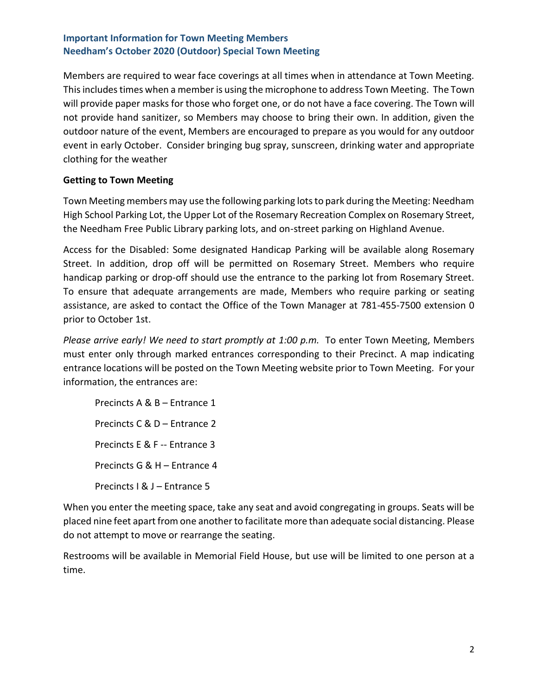Members are required to wear face coverings at all times when in attendance at Town Meeting. This includes times when a member is using the microphone to address Town Meeting. The Town will provide paper masks for those who forget one, or do not have a face covering. The Town will not provide hand sanitizer, so Members may choose to bring their own. In addition, given the outdoor nature of the event, Members are encouraged to prepare as you would for any outdoor event in early October. Consider bringing bug spray, sunscreen, drinking water and appropriate clothing for the weather

### **Getting to Town Meeting**

Town Meeting members may use the following parking lots to park during the Meeting: Needham High School Parking Lot, the Upper Lot of the Rosemary Recreation Complex on Rosemary Street, the Needham Free Public Library parking lots, and on-street parking on Highland Avenue.

Access for the Disabled: Some designated Handicap Parking will be available along Rosemary Street. In addition, drop off will be permitted on Rosemary Street. Members who require handicap parking or drop-off should use the entrance to the parking lot from Rosemary Street. To ensure that adequate arrangements are made, Members who require parking or seating assistance, are asked to contact the Office of the Town Manager at 781-455-7500 extension 0 prior to October 1st.

*Please arrive early! We need to start promptly at 1:00 p.m.* To enter Town Meeting, Members must enter only through marked entrances corresponding to their Precinct. A map indicating entrance locations will be posted on the Town Meeting website prior to Town Meeting. For your information, the entrances are:

Precincts A & B – Entrance 1 Precincts C & D – Entrance 2 Precincts E & F -- Entrance 3 Precincts G & H – Entrance 4 Precincts I & J – Entrance 5

When you enter the meeting space, take any seat and avoid congregating in groups. Seats will be placed nine feet apart from one another to facilitate more than adequate social distancing. Please do not attempt to move or rearrange the seating.

Restrooms will be available in Memorial Field House, but use will be limited to one person at a time.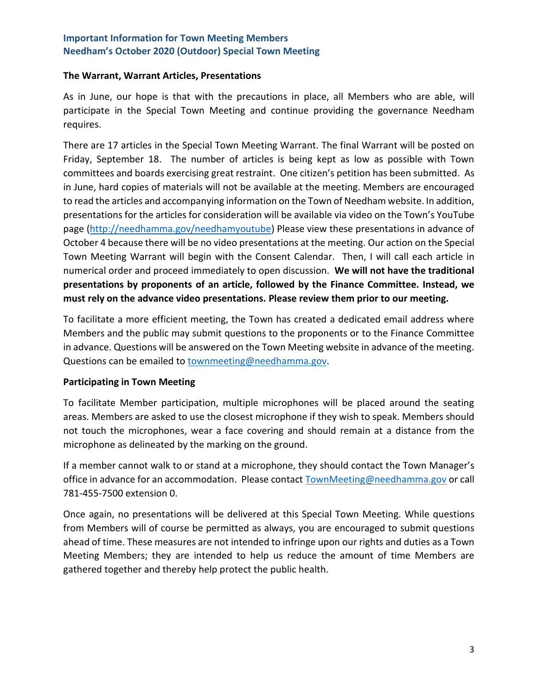#### **The Warrant, Warrant Articles, Presentations**

As in June, our hope is that with the precautions in place, all Members who are able, will participate in the Special Town Meeting and continue providing the governance Needham requires.

There are 17 articles in the Special Town Meeting Warrant. The final Warrant will be posted on Friday, September 18. The number of articles is being kept as low as possible with Town committees and boards exercising great restraint. One citizen's petition has been submitted. As in June, hard copies of materials will not be available at the meeting. Members are encouraged to read the articles and accompanying information on the Town of Needham website. In addition, presentations for the articles for consideration will be available via video on the Town's YouTube page [\(http://needhamma.gov/needhamyoutube\)](http://needhamma.gov/needhamyoutube) Please view these presentations in advance of October 4 because there will be no video presentations at the meeting. Our action on the Special Town Meeting Warrant will begin with the Consent Calendar. Then, I will call each article in numerical order and proceed immediately to open discussion. **We will not have the traditional presentations by proponents of an article, followed by the Finance Committee. Instead, we must rely on the advance video presentations. Please review them prior to our meeting.**

To facilitate a more efficient meeting, the Town has created a dedicated email address where Members and the public may submit questions to the proponents or to the Finance Committee in advance. Questions will be answered on the Town Meeting website in advance of the meeting. Questions can be emailed to [townmeeting@needhamma.gov.](mailto:townmeeting@needhamma.gov)

#### **Participating in Town Meeting**

To facilitate Member participation, multiple microphones will be placed around the seating areas. Members are asked to use the closest microphone if they wish to speak. Members should not touch the microphones, wear a face covering and should remain at a distance from the microphone as delineated by the marking on the ground.

If a member cannot walk to or stand at a microphone, they should contact the Town Manager's office in advance for an accommodation. Please contact [TownMeeting@needhamma.gov](mailto:TownMeeting@needhamma.gov) or call 781-455-7500 extension 0.

Once again, no presentations will be delivered at this Special Town Meeting. While questions from Members will of course be permitted as always, you are encouraged to submit questions ahead of time. These measures are not intended to infringe upon our rights and duties as a Town Meeting Members; they are intended to help us reduce the amount of time Members are gathered together and thereby help protect the public health.